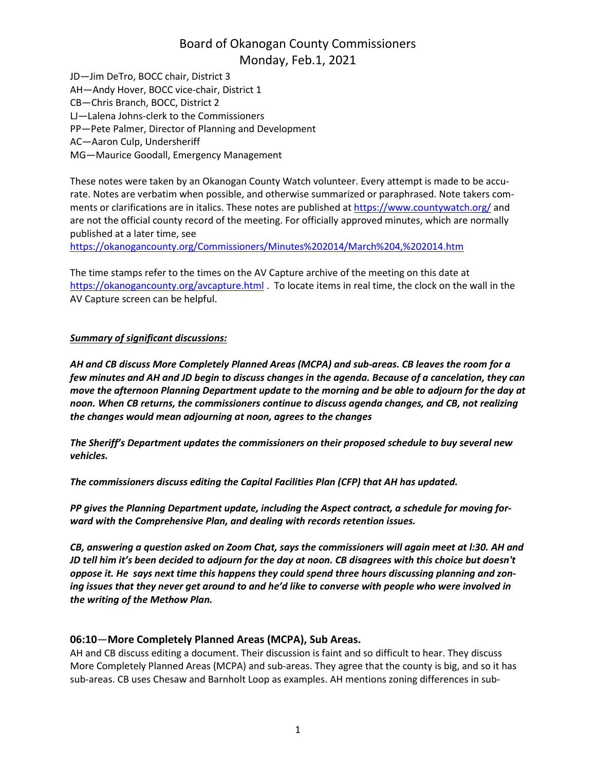JD—Jim DeTro, BOCC chair, District 3 AH—Andy Hover, BOCC vice-chair, District 1 CB—Chris Branch, BOCC, District 2 LJ—Lalena Johns-clerk to the Commissioners PP—Pete Palmer, Director of Planning and Development AC—Aaron Culp, Undersheriff MG—Maurice Goodall, Emergency Management

These notes were taken by an Okanogan County Watch volunteer. Every attempt is made to be accurate. Notes are verbatim when possible, and otherwise summarized or paraphrased. Note takers comments or clarifications are in italics. These notes are published at <https://www.countywatch.org/> and are not the official county record of the meeting. For officially approved minutes, which are normally published at a later time, see

[https://okanogancounty.org/Commissioners/Minutes%202014/March%204,%202014.htm](https://okanogancounty.org/Commissioners/Minutes%2525202014/March%2525204,%2525202014.htm)

The time stamps refer to the times on the AV Capture archive of the meeting on this date at <https://okanogancounty.org/avcapture.html> . To locate items in real time, the clock on the wall in the AV Capture screen can be helpful.

### *Summary of significant discussions:*

*AH and CB discuss More Completely Planned Areas (MCPA) and sub-areas. CB leaves the room for a* few minutes and AH and JD begin to discuss changes in the agenda. Because of a cancelation, they can *move the afternoon Planning Department update to the morning and be able to adjourn for the day at noon. When CB returns, the commissioners continue to discuss agenda changes, and CB, not realizing the changes would mean adjourning at noon, agrees to the changes*

*The Sheriff's Department updates the commissioners on their proposed schedule to buy several new vehicles.*

*The commissioners discuss editing the Capital Facilities Plan (CFP) that AH has updated.*

*PP gives the Planning Department update, including the Aspect contract, a schedule for moving forward with the Comprehensive Plan, and dealing with records retention issues.*

CB, answering a question asked on Zoom Chat, says the commissioners will again meet at I:30. AH and JD tell him it's been decided to adjourn for the day at noon. CB disagrees with this choice but doesn't *oppose it. He says next time this happens they could spend three hours discussing planning and zon*ing issues that they never get around to and he'd like to converse with people who were involved in *the writing of the Methow Plan.*

### **06:10**—**More Completely Planned Areas (MCPA), Sub Areas.**

AH and CB discuss editing a document. Their discussion is faint and so difficult to hear. They discuss More Completely Planned Areas (MCPA) and sub-areas. They agree that the county is big, and so it has sub-areas. CB uses Chesaw and Barnholt Loop as examples. AH mentions zoning differences in sub-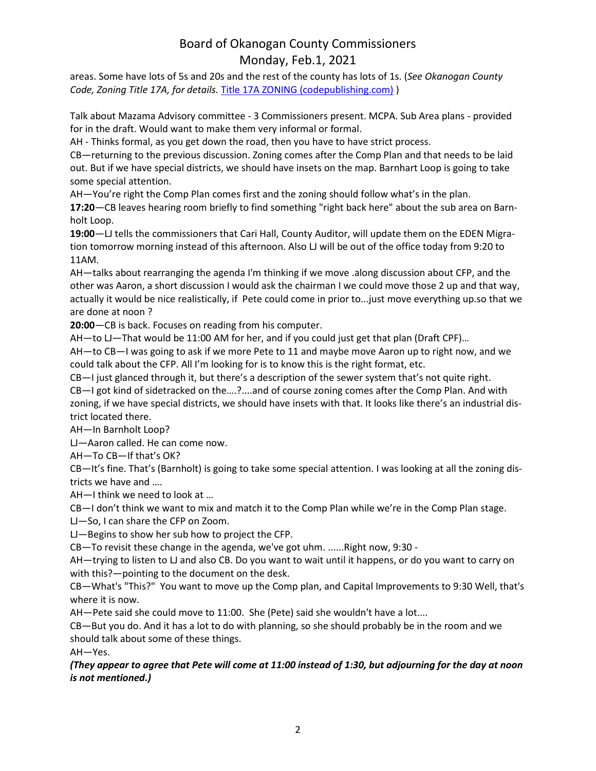areas. Some have lots of 5s and 20s and the rest of the county has lots of 1s. (*See Okanogan County Code, Zoning Title 17A, for details.* Title 17A ZONING [\(codepublishing.com\)](https://www.codepublishing.com/WA/OkanoganCounty/%23!/OkanoganCounty17A/OkanoganCounty17A.html) )

Talk about Mazama Advisory committee - 3 Commissioners present. MCPA. Sub Area plans - provided for in the draft. Would want to make them very informal or formal.

AH - Thinks formal, as you get down the road, then you have to have strict process.

CB—returning to the previous discussion. Zoning comes after the Comp Plan and that needs to be laid out. But if we have special districts, we should have insets on the map. Barnhart Loop is going to take some special attention.

AH—You're right the Comp Plan comes first and the zoning should follow what's in the plan.

**17:20**—CB leaves hearing room briefly to find something "right back here" about the sub area on Barnholt Loop.

**19:00**—LJ tells the commissioners that Cari Hall, County Auditor, will update them on the EDEN Migration tomorrow morning instead of this afternoon. Also LJ will be out of the office today from 9:20 to 11AM.

AH—talks about rearranging the agenda I'm thinking if we move .along discussion about CFP, and the other was Aaron, a short discussion I would ask the chairman I we could move those 2 up and that way, actually it would be nice realistically, if Pete could come in prior to...just move everything up.so that we are done at noon ?

**20:00**—CB is back. Focuses on reading from his computer.

AH—to LJ—That would be 11:00 AM for her, and if you could just get that plan (Draft CPF)…

AH—to CB—I was going to ask if we more Pete to 11 and maybe move Aaron up to right now, and we could talk about the CFP. All I'm looking for is to know this is the right format, etc.

CB—I just glanced through it, but there's a description of the sewer system that's not quite right.

CB—I got kind of sidetracked on the….?....and of course zoning comes after the Comp Plan. And with zoning, if we have special districts, we should have insets with that. It looks like there's an industrial district located there.

AH—In Barnholt Loop?

LJ—Aaron called. He can come now.

AH—To CB—If that's OK?

CB—It's fine. That's (Barnholt) is going to take some special attention. I was looking at all the zoning districts we have and ….

AH—I think we need to look at …

CB—I don't think we want to mix and match it to the Comp Plan while we're in the Comp Plan stage.

LJ—So, I can share the CFP on Zoom.

LJ—Begins to show her sub how to project the CFP.

CB—To revisit these change in the agenda, we've got uhm. ......Right now, 9:30 -

AH—trying to listen to LJ and also CB. Do you want to wait until it happens, or do you want to carry on with this?—pointing to the document on the desk.

CB—What's "This?" You want to move up the Comp plan, and Capital Improvements to 9:30 Well, that's where it is now.

AH—Pete said she could move to 11:00. She (Pete) said she wouldn't have a lot....

CB—But you do. And it has a lot to do with planning, so she should probably be in the room and we should talk about some of these things.

AH—Yes.

### (They appear to agree that Pete will come at 11:00 instead of 1:30, but adjourning for the day at noon *is not mentioned.)*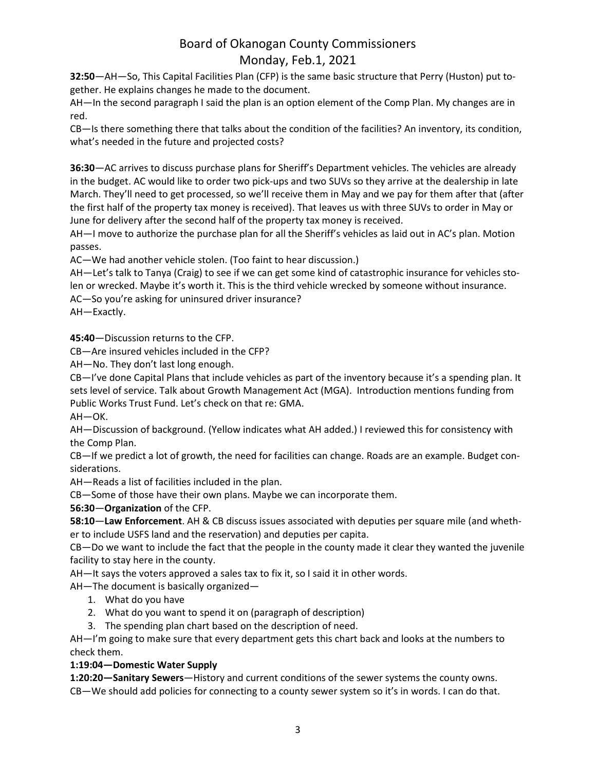**32:50**—AH—So, This Capital Facilities Plan (CFP) is the same basic structure that Perry (Huston) put together. He explains changes he made to the document.

AH—In the second paragraph I said the plan is an option element of the Comp Plan. My changes are in red.

CB—Is there something there that talks about the condition of the facilities? An inventory, its condition, what's needed in the future and projected costs?

**36:30**—AC arrives to discuss purchase plans for Sheriff's Department vehicles. The vehicles are already in the budget. AC would like to order two pick-ups and two SUVs so they arrive at the dealership in late March. They'll need to get processed, so we'll receive them in May and we pay for them after that (after the first half of the property tax money is received). That leaves us with three SUVs to order in May or June for delivery after the second half of the property tax money is received.

AH—I move to authorize the purchase plan for all the Sheriff's vehicles as laid out in AC's plan. Motion passes.

AC—We had another vehicle stolen. (Too faint to hear discussion.)

AH—Let's talk to Tanya (Craig) to see if we can get some kind of catastrophic insurance for vehicles stolen or wrecked. Maybe it's worth it. This is the third vehicle wrecked by someone without insurance.

AC—So you're asking for uninsured driver insurance?

AH—Exactly.

**45:40**—Discussion returns to the CFP.

CB—Are insured vehicles included in the CFP?

AH—No. They don't last long enough.

CB—I've done Capital Plans that include vehicles as part of the inventory because it's a spending plan. It sets level of service. Talk about Growth Management Act (MGA). Introduction mentions funding from Public Works Trust Fund. Let's check on that re: GMA.

AH—OK.

AH—Discussion of background. (Yellow indicates what AH added.) I reviewed this for consistency with the Comp Plan.

CB—If we predict a lot of growth, the need for facilities can change. Roads are an example. Budget considerations.

AH—Reads a list of facilities included in the plan.

CB—Some of those have their own plans. Maybe we can incorporate them.

**56:30**—**Organization** of the CFP.

**58:10**—**Law Enforcement**. AH & CB discuss issues associated with deputies per square mile (and whether to include USFS land and the reservation) and deputies per capita.

CB—Do we want to include the fact that the people in the county made it clear they wanted the juvenile facility to stay here in the county.

AH—It says the voters approved a sales tax to fix it, so I said it in other words.

AH—The document is basically organized—

- 1. What do you have
- 2. What do you want to spend it on (paragraph of description)
- 3. The spending plan chart based on the description of need.

AH—I'm going to make sure that every department gets this chart back and looks at the numbers to check them.

### **1:19:04—Domestic Water Supply**

**1:20:20—Sanitary Sewers**—History and current conditions of the sewer systems the county owns. CB—We should add policies for connecting to a county sewer system so it's in words. I can do that.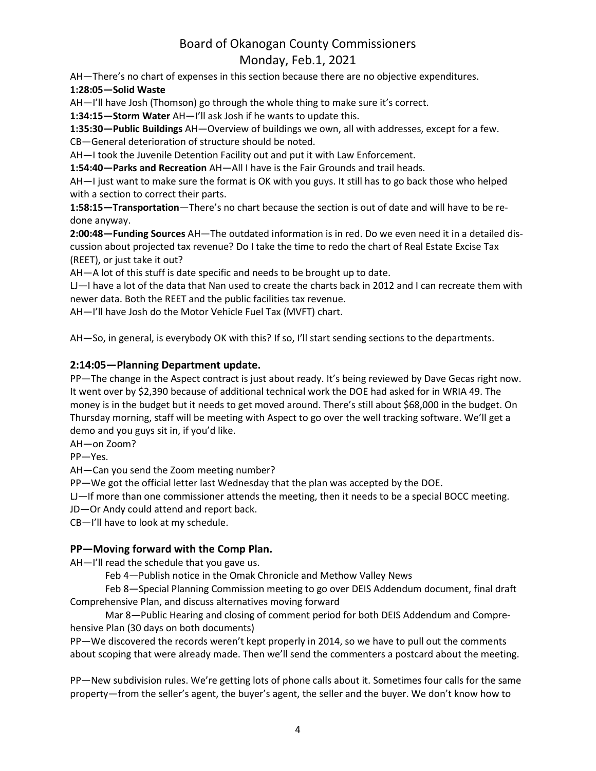AH—There's no chart of expenses in this section because there are no objective expenditures. **1:28:05—Solid Waste**

AH—I'll have Josh (Thomson) go through the whole thing to make sure it's correct.

**1:34:15—Storm Water** AH—I'll ask Josh if he wants to update this.

**1:35:30—Public Buildings** AH—Overview of buildings we own, all with addresses, except for a few. CB—General deterioration of structure should be noted.

AH—I took the Juvenile Detention Facility out and put it with Law Enforcement.

**1:54:40—Parks and Recreation** AH—All I have is the Fair Grounds and trail heads.

AH—I just want to make sure the format is OK with you guys. It still has to go back those who helped with a section to correct their parts.

**1:58:15—Transportation**—There's no chart because the section is out of date and will have to be redone anyway.

**2:00:48—Funding Sources** AH—The outdated information is in red. Do we even need it in a detailed discussion about projected tax revenue? Do I take the time to redo the chart of Real Estate Excise Tax (REET), or just take it out?

AH—A lot of this stuff is date specific and needs to be brought up to date.

LJ—I have a lot of the data that Nan used to create the charts back in 2012 and I can recreate them with newer data. Both the REET and the public facilities tax revenue.

AH—I'll have Josh do the Motor Vehicle Fuel Tax (MVFT) chart.

AH—So, in general, is everybody OK with this? If so, I'll start sending sections to the departments.

### **2:14:05—Planning Department update.**

PP—The change in the Aspect contract is just about ready. It's being reviewed by Dave Gecas right now. It went over by \$2,390 because of additional technical work the DOE had asked for in WRIA 49. The money is in the budget but it needs to get moved around. There's still about \$68,000 in the budget. On Thursday morning, staff will be meeting with Aspect to go over the well tracking software. We'll get a demo and you guys sit in, if you'd like.

AH—on Zoom?

PP—Yes.

AH—Can you send the Zoom meeting number?

PP—We got the official letter last Wednesday that the plan was accepted by the DOE.

LJ—If more than one commissioner attends the meeting, then it needs to be a special BOCC meeting.

JD—Or Andy could attend and report back.

CB—I'll have to look at my schedule.

### **PP—Moving forward with the Comp Plan.**

AH—I'll read the schedule that you gave us.

Feb 4—Publish notice in the Omak Chronicle and Methow Valley News

Feb 8—Special Planning Commission meeting to go over DEIS Addendum document, final draft Comprehensive Plan, and discuss alternatives moving forward

Mar 8—Public Hearing and closing of comment period for both DEIS Addendum and Comprehensive Plan (30 days on both documents)

PP—We discovered the records weren't kept properly in 2014, so we have to pull out the comments about scoping that were already made. Then we'll send the commenters a postcard about the meeting.

PP—New subdivision rules. We're getting lots of phone calls about it. Sometimes four calls for the same property—from the seller's agent, the buyer's agent, the seller and the buyer. We don't know how to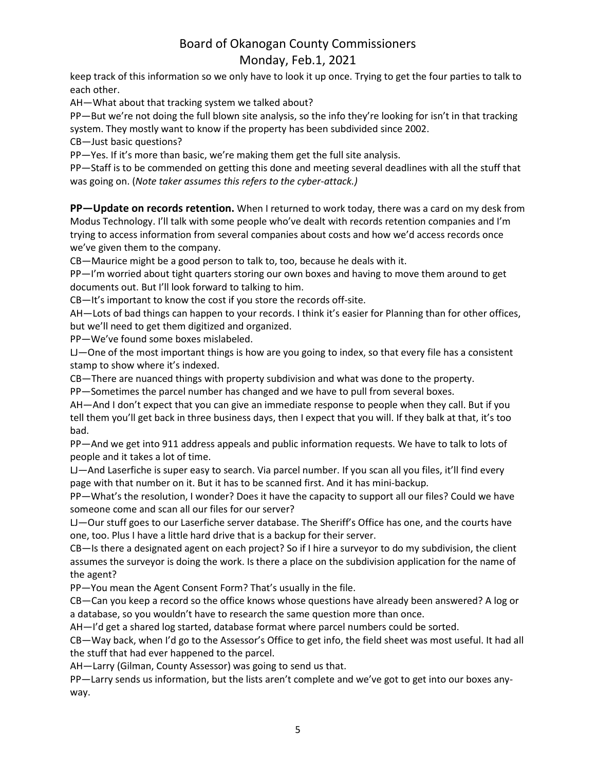keep track of this information so we only have to look it up once. Trying to get the four parties to talk to each other.

AH—What about that tracking system we talked about?

PP—But we're not doing the full blown site analysis, so the info they're looking for isn't in that tracking system. They mostly want to know if the property has been subdivided since 2002.

CB—Just basic questions?

PP—Yes. If it's more than basic, we're making them get the full site analysis.

PP—Staff is to be commended on getting this done and meeting several deadlines with all the stuff that was going on. (*Note taker assumes this refers to the cyber-attack.)*

**PP—Update on records retention.** When I returned to work today, there was a card on my desk from Modus Technology. I'll talk with some people who've dealt with records retention companies and I'm trying to access information from several companies about costs and how we'd access records once we've given them to the company.

CB—Maurice might be a good person to talk to, too, because he deals with it.

PP—I'm worried about tight quarters storing our own boxes and having to move them around to get documents out. But I'll look forward to talking to him.

CB—It's important to know the cost if you store the records off-site.

AH—Lots of bad things can happen to your records. I think it's easier for Planning than for other offices, but we'll need to get them digitized and organized.

PP—We've found some boxes mislabeled.

LJ—One of the most important things is how are you going to index, so that every file has a consistent stamp to show where it's indexed.

CB—There are nuanced things with property subdivision and what was done to the property.

PP—Sometimes the parcel number has changed and we have to pull from several boxes.

AH—And I don't expect that you can give an immediate response to people when they call. But if you tell them you'll get back in three business days, then I expect that you will. If they balk at that, it's too bad.

PP—And we get into 911 address appeals and public information requests. We have to talk to lots of people and it takes a lot of time.

LJ—And Laserfiche is super easy to search. Via parcel number. If you scan all you files, it'll find every page with that number on it. But it has to be scanned first. And it has mini-backup.

PP—What's the resolution, I wonder? Does it have the capacity to support all our files? Could we have someone come and scan all our files for our server?

LJ—Our stuff goes to our Laserfiche server database. The Sheriff's Office has one, and the courts have one, too. Plus I have a little hard drive that is a backup for their server.

CB—Is there a designated agent on each project? So if I hire a surveyor to do my subdivision, the client assumes the surveyor is doing the work. Is there a place on the subdivision application for the name of the agent?

PP—You mean the Agent Consent Form? That's usually in the file.

CB—Can you keep a record so the office knows whose questions have already been answered? A log or a database, so you wouldn't have to research the same question more than once.

AH—I'd get a shared log started, database format where parcel numbers could be sorted.

CB—Way back, when I'd go to the Assessor's Office to get info, the field sheet was most useful. It had all the stuff that had ever happened to the parcel.

AH—Larry (Gilman, County Assessor) was going to send us that.

PP—Larry sends us information, but the lists aren't complete and we've got to get into our boxes anyway.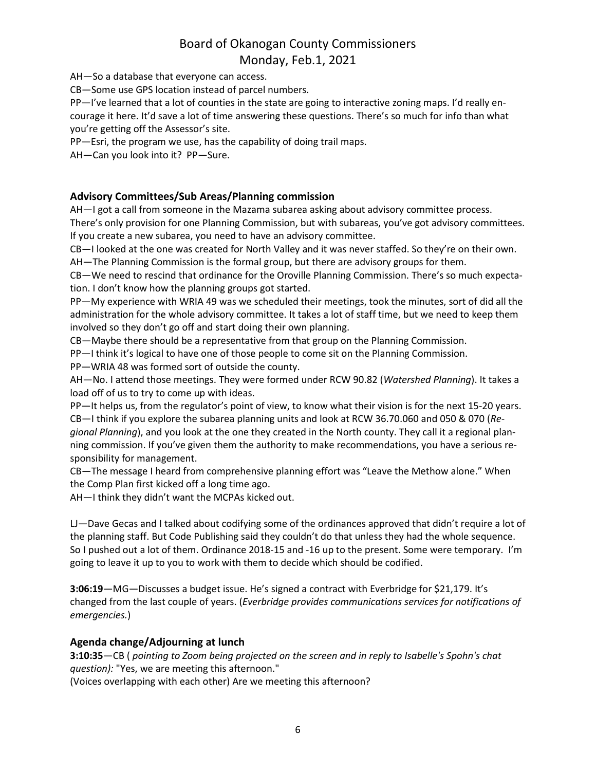AH—So a database that everyone can access.

CB—Some use GPS location instead of parcel numbers.

PP—I've learned that a lot of counties in the state are going to interactive zoning maps. I'd really encourage it here. It'd save a lot of time answering these questions. There's so much for info than what you're getting off the Assessor's site.

PP—Esri, the program we use, has the capability of doing trail maps.

AH—Can you look into it? PP—Sure.

### **Advisory Committees/Sub Areas/Planning commission**

AH—I got a call from someone in the Mazama subarea asking about advisory committee process.

There's only provision for one Planning Commission, but with subareas, you've got advisory committees. If you create a new subarea, you need to have an advisory committee.

CB—I looked at the one was created for North Valley and it was never staffed. So they're on their own.

AH—The Planning Commission is the formal group, but there are advisory groups for them.

CB—We need to rescind that ordinance for the Oroville Planning Commission. There's so much expectation. I don't know how the planning groups got started.

PP—My experience with WRIA 49 was we scheduled their meetings, took the minutes, sort of did all the administration for the whole advisory committee. It takes a lot of staff time, but we need to keep them involved so they don't go off and start doing their own planning.

CB—Maybe there should be a representative from that group on the Planning Commission.

PP—I think it's logical to have one of those people to come sit on the Planning Commission.

PP—WRIA 48 was formed sort of outside the county.

AH—No. I attend those meetings. They were formed under RCW 90.82 (*Watershed Planning*). It takes a load off of us to try to come up with ideas.

PP—It helps us, from the regulator's point of view, to know what their vision is for the next 15-20 years. CB—I think if you explore the subarea planning units and look at RCW 36.70.060 and 050 & 070 (*Regional Planning*), and you look at the one they created in the North county. They call it a regional planning commission. If you've given them the authority to make recommendations, you have a serious responsibility for management.

CB—The message I heard from comprehensive planning effort was "Leave the Methow alone." When the Comp Plan first kicked off a long time ago.

AH—I think they didn't want the MCPAs kicked out.

LJ—Dave Gecas and I talked about codifying some of the ordinances approved that didn't require a lot of the planning staff. But Code Publishing said they couldn't do that unless they had the whole sequence. So I pushed out a lot of them. Ordinance 2018-15 and -16 up to the present. Some were temporary. I'm going to leave it up to you to work with them to decide which should be codified.

**3:06:19**—MG—Discusses a budget issue. He's signed a contract with Everbridge for \$21,179. It's changed from the last couple of years. (*Everbridge provides communications services for notifications of emergencies.*)

### **Agenda change/Adjourning at lunch**

**3:10:35**—CB ( *pointing to Zoom being projected on the screen and in reply to Isabelle's Spohn's chat question):* "Yes, we are meeting this afternoon."

(Voices overlapping with each other) Are we meeting this afternoon?